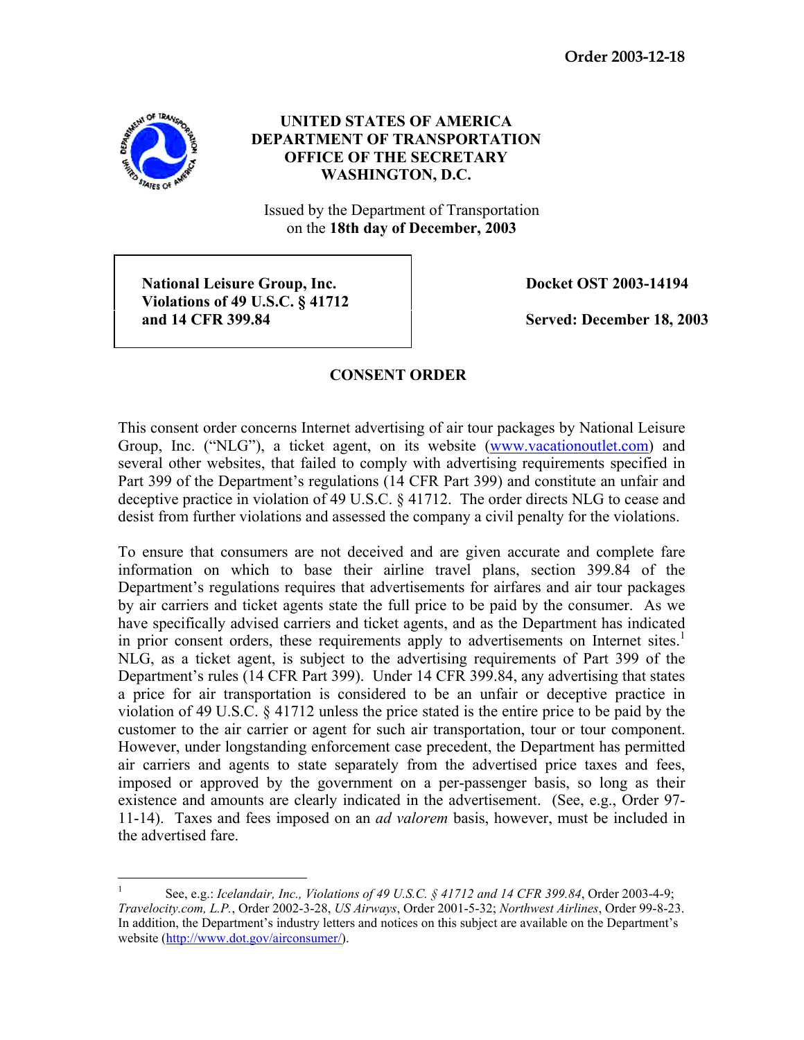

## **UNITED STATES OF AMERICA DEPARTMENT OF TRANSPORTATION OFFICE OF THE SECRETARY WASHINGTON, D.C.**

Issued by the Department of Transportation on the **18th day of December, 2003**

National Leisure Group, Inc. **Docket OST 2003-14194 Violations of 49 U.S.C. § 41712 and 14 CFR 399.84 Served: December 18, 2003**

## **CONSENT ORDER**

This consent order concerns Internet advertising of air tour packages by National Leisure Group, Inc. ("NLG"), a ticket agent, on its website (www.vacationoutlet.com) and several other websites, that failed to comply with advertising requirements specified in Part 399 of the Department's regulations (14 CFR Part 399) and constitute an unfair and deceptive practice in violation of 49 U.S.C. § 41712. The order directs NLG to cease and desist from further violations and assessed the company a civil penalty for the violations.

To ensure that consumers are not deceived and are given accurate and complete fare information on which to base their airline travel plans, section 399.84 of the Department's regulations requires that advertisements for airfares and air tour packages by air carriers and ticket agents state the full price to be paid by the consumer. As we have specifically advised carriers and ticket agents, and as the Department has indicated in prior consent orders, these requirements apply to advertisements on Internet sites.<sup>1</sup> NLG, as a ticket agent, is subject to the advertising requirements of Part 399 of the Department's rules (14 CFR Part 399). Under 14 CFR 399.84, any advertising that states a price for air transportation is considered to be an unfair or deceptive practice in violation of 49 U.S.C. § 41712 unless the price stated is the entire price to be paid by the customer to the air carrier or agent for such air transportation, tour or tour component. However, under longstanding enforcement case precedent, the Department has permitted air carriers and agents to state separately from the advertised price taxes and fees, imposed or approved by the government on a per-passenger basis, so long as their existence and amounts are clearly indicated in the advertisement. (See, e.g., Order 97- 11-14). Taxes and fees imposed on an *ad valorem* basis, however, must be included in the advertised fare.

 $\frac{1}{1}$  See, e.g.: *Icelandair, Inc., Violations of 49 U.S.C. § 41712 and 14 CFR 399.84*, Order 2003-4-9; *Travelocity.com, L.P.*, Order 2002-3-28, *US Airways*, Order 2001-5-32; *Northwest Airlines*, Order 99-8-23. In addition, the Department's industry letters and notices on this subject are available on the Department's website (http://www.dot.gov/airconsumer/).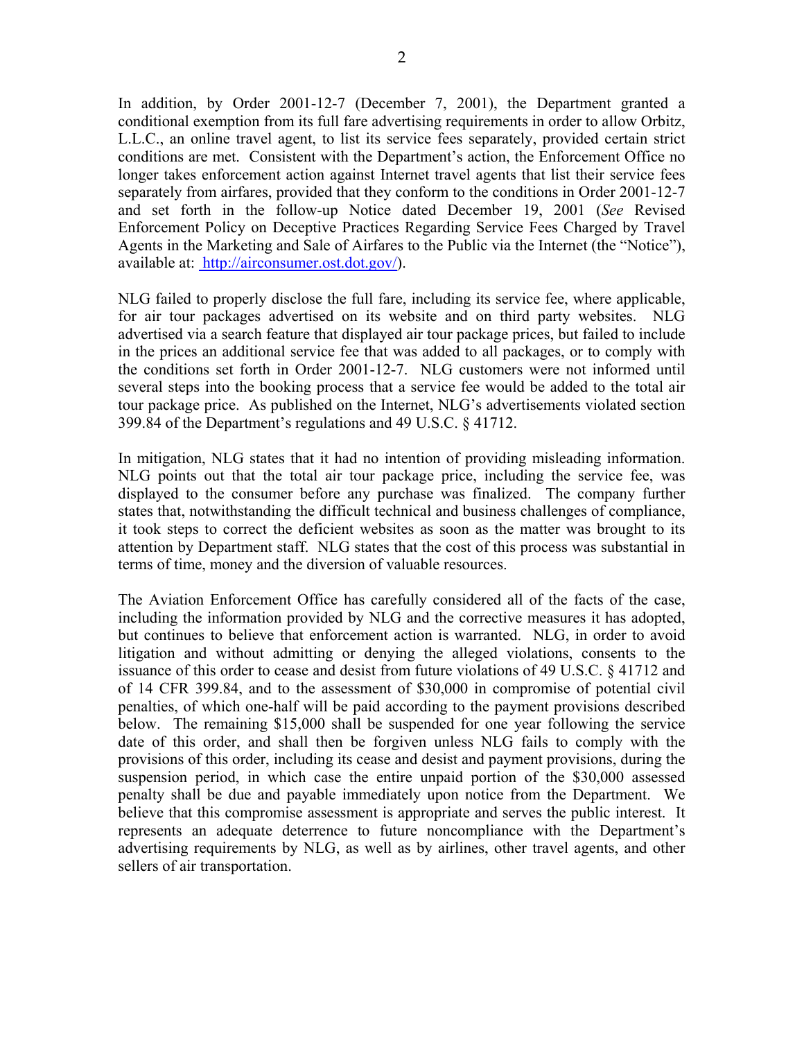In addition, by Order 2001-12-7 (December 7, 2001), the Department granted a conditional exemption from its full fare advertising requirements in order to allow Orbitz, L.L.C., an online travel agent, to list its service fees separately, provided certain strict conditions are met. Consistent with the Department's action, the Enforcement Office no longer takes enforcement action against Internet travel agents that list their service fees separately from airfares, provided that they conform to the conditions in Order 2001-12-7 and set forth in the follow-up Notice dated December 19, 2001 (*See* Revised Enforcement Policy on Deceptive Practices Regarding Service Fees Charged by Travel Agents in the Marketing and Sale of Airfares to the Public via the Internet (the "Notice"), available at: http://airconsumer.ost.dot.gov/).

NLG failed to properly disclose the full fare, including its service fee, where applicable, for air tour packages advertised on its website and on third party websites. NLG advertised via a search feature that displayed air tour package prices, but failed to include in the prices an additional service fee that was added to all packages, or to comply with the conditions set forth in Order 2001-12-7. NLG customers were not informed until several steps into the booking process that a service fee would be added to the total air tour package price. As published on the Internet, NLG's advertisements violated section 399.84 of the Department's regulations and 49 U.S.C. § 41712.

In mitigation, NLG states that it had no intention of providing misleading information. NLG points out that the total air tour package price, including the service fee, was displayed to the consumer before any purchase was finalized. The company further states that, notwithstanding the difficult technical and business challenges of compliance, it took steps to correct the deficient websites as soon as the matter was brought to its attention by Department staff. NLG states that the cost of this process was substantial in terms of time, money and the diversion of valuable resources.

The Aviation Enforcement Office has carefully considered all of the facts of the case, including the information provided by NLG and the corrective measures it has adopted, but continues to believe that enforcement action is warranted. NLG, in order to avoid litigation and without admitting or denying the alleged violations, consents to the issuance of this order to cease and desist from future violations of 49 U.S.C. § 41712 and of 14 CFR 399.84, and to the assessment of \$30,000 in compromise of potential civil penalties, of which one-half will be paid according to the payment provisions described below. The remaining \$15,000 shall be suspended for one year following the service date of this order, and shall then be forgiven unless NLG fails to comply with the provisions of this order, including its cease and desist and payment provisions, during the suspension period, in which case the entire unpaid portion of the \$30,000 assessed penalty shall be due and payable immediately upon notice from the Department. We believe that this compromise assessment is appropriate and serves the public interest. It represents an adequate deterrence to future noncompliance with the Department's advertising requirements by NLG, as well as by airlines, other travel agents, and other sellers of air transportation.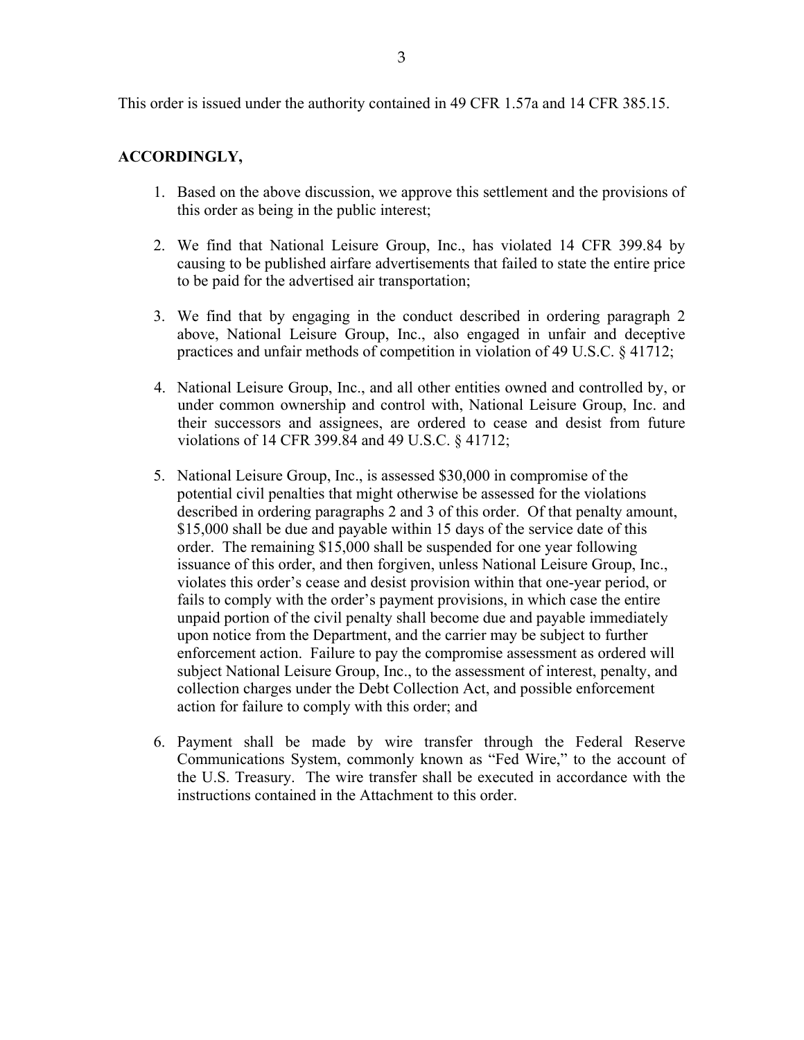## **ACCORDINGLY,**

- 1. Based on the above discussion, we approve this settlement and the provisions of this order as being in the public interest;
- 2. We find that National Leisure Group, Inc., has violated 14 CFR 399.84 by causing to be published airfare advertisements that failed to state the entire price to be paid for the advertised air transportation;
- 3. We find that by engaging in the conduct described in ordering paragraph 2 above, National Leisure Group, Inc., also engaged in unfair and deceptive practices and unfair methods of competition in violation of 49 U.S.C. § 41712;
- 4. National Leisure Group, Inc., and all other entities owned and controlled by, or under common ownership and control with, National Leisure Group, Inc. and their successors and assignees, are ordered to cease and desist from future violations of 14 CFR 399.84 and 49 U.S.C. § 41712;
- 5. National Leisure Group, Inc., is assessed \$30,000 in compromise of the potential civil penalties that might otherwise be assessed for the violations described in ordering paragraphs 2 and 3 of this order. Of that penalty amount, \$15,000 shall be due and payable within 15 days of the service date of this order. The remaining \$15,000 shall be suspended for one year following issuance of this order, and then forgiven, unless National Leisure Group, Inc., violates this order's cease and desist provision within that one-year period, or fails to comply with the order's payment provisions, in which case the entire unpaid portion of the civil penalty shall become due and payable immediately upon notice from the Department, and the carrier may be subject to further enforcement action. Failure to pay the compromise assessment as ordered will subject National Leisure Group, Inc., to the assessment of interest, penalty, and collection charges under the Debt Collection Act, and possible enforcement action for failure to comply with this order; and
- 6. Payment shall be made by wire transfer through the Federal Reserve Communications System, commonly known as "Fed Wire," to the account of the U.S. Treasury. The wire transfer shall be executed in accordance with the instructions contained in the Attachment to this order.